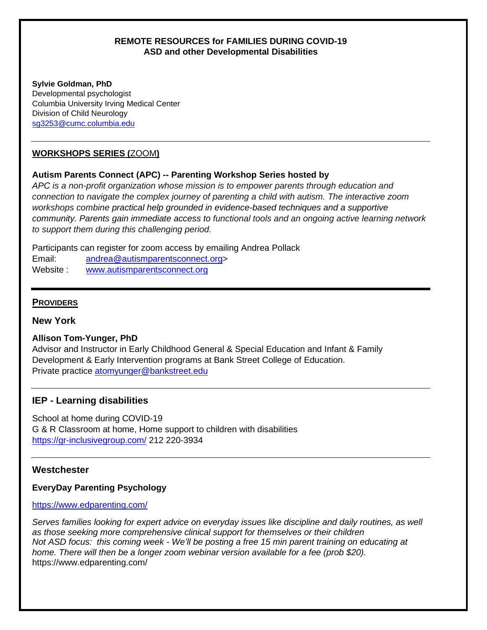## **REMOTE RESOURCES for FAMILIES DURING COVID-19 ASD and other Developmental Disabilities**

#### **Sylvie Goldman, PhD**

Developmental psychologist Columbia University Irving Medical Center Division of Child Neurology sg3253@cumc.columbia.edu

# **WORKSHOPS SERIES (**ZOOM**)**

# **Autism Parents Connect (APC) -- Parenting Workshop Series hosted by**

*APC is a non-profit organization whose mission is to empower parents through education and connection to navigate the complex journey of parenting a child with autism. The interactive zoom workshops combine practical help grounded in evidence-based techniques and a supportive community. Parents gain immediate access to functional tools and an ongoing active learning network to support them during this challenging period.* 

Participants can register for zoom access by emailing Andrea Pollack

Email: [andrea@autismparentsconnect.org>](mailto:andrea@autismparentsconnect.org)

Website : [www.autismparentsconnect.org](http://www.autismparentsconnect.org/)

# **PROVIDERS**

**New York**

# **Allison Tom-Yunger, PhD**

Advisor and Instructor in Early Childhood General & Special Education and Infant & Family Development & Early Intervention programs at Bank Street College of Education. Private practice [atomyunger@bankstreet.edu](mailto:atomyunger@bankstreet.edu)

# **IEP - Learning disabilities**

School at home during COVID-19 G & R Classroom at home, Home support to children with disabilities <https://gr-inclusivegroup.com/> 212 220-3934

# **Westchester**

# **EveryDay Parenting Psychology**

## <https://www.edparenting.com/>

*Serves families looking for expert advice on everyday issues like discipline and daily routines, as well as those seeking more comprehensive clinical support for themselves or their children Not ASD focus: this coming week - We'll be posting a free 15 min parent training on educating at home. There will then be a longer zoom webinar version available for a fee (prob \$20).* https://www.edparenting.com/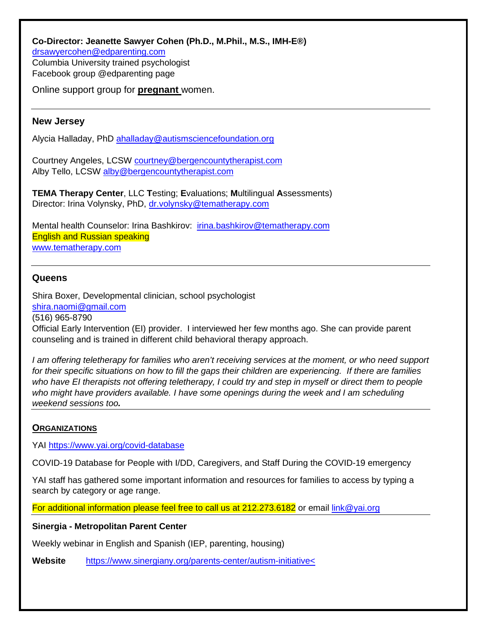**Co-Director: Jeanette Sawyer Cohen (Ph.D., M.Phil., M.S., IMH-E®)** [drsawyercohen@edparenting.com](mailto:drsawyercohen@edparenting.com) Columbia University trained psychologist Facebook group @edparenting page

Online support group for **pregnant** women.

## **New Jersey**

Alycia Halladay, PhD ahalladay@autismsciencefoundation.org

Courtney Angeles, LCSW [courtney@bergencountytherapist.com](mailto:courtney@bergencountytherapist.com) Alby Tello, LCSW alby@bergencountytherapist.com

**TEMA Therapy Center**, LLC **T**esting; **E**valuations; **M**ultilingual **A**ssessments) Director: Irina Volynsky, PhD, [dr.volynsky@tematherapy.com](mailto:dr.volynsky@tematherapy.com)

Mental health Counselor: Irina Bashkirov: [irina.bashkirov@tematherapy.com](mailto:irina.bashkirov@tematherapy.com) English and Russian speaking [www.tematherapy.com](http://www.tematherapy.com/)

## **Queens**

Shira Boxer, Developmental clinician, school psychologist shira.naomi@gmail.com (516) 965-8790 Official Early Intervention (EI) provider. I interviewed her few months ago. She can provide parent counseling and is trained in different child behavioral therapy approach.

*I am offering teletherapy for families who aren't receiving services at the moment, or who need support for their specific situations on how to fill the gaps their children are experiencing. If there are families who have EI therapists not offering teletherapy, I could try and step in myself or direct them to people who might have providers available. I have some openings during the week and I am scheduling weekend sessions too.*

## **ORGANIZATIONS**

YAI<https://www.yai.org/covid-database>

COVID-19 Database for People with I/DD, Caregivers, and Staff During the COVID-19 emergency

YAI staff has gathered some important information and resources for families to access by typing a search by category or age range.

For additional information please feel free to call us at 212.273.6182 or email [link@yai.org](mailto:link@yai.org)

#### **Sinergia - Metropolitan Parent Center**

Weekly webinar in English and Spanish (IEP, parenting, housing)

**Website** [https://www.sinergiany.org/parents-center/autism-initiative<](https://www.sinergiany.org/parents-center/autism-initiative%3c)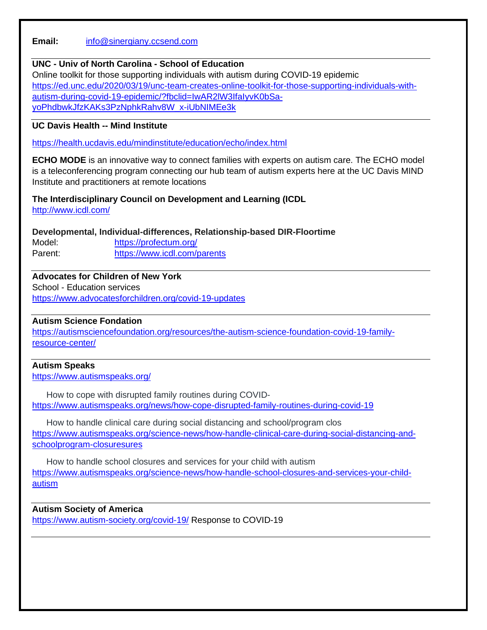**Email:** [info@sinergiany.ccsend.com](mailto:info@sinergiany.ccsend.com)

## **UNC - Univ of North Carolina - School of Education**

Online toolkit for those supporting individuals with autism during COVID-19 epidemic [https://ed.unc.edu/2020/03/19/unc-team-creates-online-toolkit-for-those-supporting-individuals-with](https://ed.unc.edu/2020/03/19/unc-team-creates-online-toolkit-for-those-supporting-individuals-with-autism-during-covid-19-epidemic/?fbclid=IwAR2lW3IfaIyvK0bSa-yoPhdbwkJfzKAKs3PzNphkRahv8W_x-iUbNIMEe3k)[autism-during-covid-19-epidemic/?fbclid=IwAR2lW3IfaIyvK0bSa](https://ed.unc.edu/2020/03/19/unc-team-creates-online-toolkit-for-those-supporting-individuals-with-autism-during-covid-19-epidemic/?fbclid=IwAR2lW3IfaIyvK0bSa-yoPhdbwkJfzKAKs3PzNphkRahv8W_x-iUbNIMEe3k)[yoPhdbwkJfzKAKs3PzNphkRahv8W\\_x-iUbNIMEe3k](https://ed.unc.edu/2020/03/19/unc-team-creates-online-toolkit-for-those-supporting-individuals-with-autism-during-covid-19-epidemic/?fbclid=IwAR2lW3IfaIyvK0bSa-yoPhdbwkJfzKAKs3PzNphkRahv8W_x-iUbNIMEe3k)

## **UC Davis Health -- Mind Institut[e](https://health.ucdavis.edu/mindinstitute/education/echo/index.html)**

<https://health.ucdavis.edu/mindinstitute/education/echo/index.html>

**ECHO MODE** is an innovative way to connect families with experts on autism care. The ECHO model is a teleconferencing program connecting our hub team of autism experts here at the UC Davis MIND Institute and practitioners at remote locations

# **The Interdisciplinary Council on Development and Learning (ICDL**

<http://www.icdl.com/>

## **Developmental, Individual-differences, Relationship-based DIR-Floortime**

Model: <https://profectum.org/> Parent: <https://www.icdl.com/parents>

# **Advocates for Children of New York**

School - Education services <https://www.advocatesforchildren.org/covid-19-updates>

## **Autism Science Fondation**

[https://autismsciencefoundation.org/resources/the-autism-science-foundation-covid-19-family](https://autismsciencefoundation.org/resources/the-autism-science-foundation-covid-19-family-resource-center/)[resource-center/](https://autismsciencefoundation.org/resources/the-autism-science-foundation-covid-19-family-resource-center/)

# **Autism Speaks**

<https://www.autismspeaks.org/>

How to cope with disrupted family routines during COVID<https://www.autismspeaks.org/news/how-cope-disrupted-family-routines-during-covid-19>

How to handle clinical care during social distancing and school/program clos [https://www.autismspeaks.org/science-news/how-handle-clinical-care-during-social-distancing-and](https://www.autismspeaks.org/science-news/how-handle-clinical-care-during-social-distancing-and-schoolprogram-closuresures)[schoolprogram-closuresures](https://www.autismspeaks.org/science-news/how-handle-clinical-care-during-social-distancing-and-schoolprogram-closuresures)

How to handle school closures and services for your child with autism [https://www.autismspeaks.org/science-news/how-handle-school-closures-and-services-your-child](https://www.autismspeaks.org/science-news/how-handle-school-closures-and-services-your-child-autism)[autism](https://www.autismspeaks.org/science-news/how-handle-school-closures-and-services-your-child-autism)

## **Autism Society of America**

<https://www.autism-society.org/covid-19/> Response to COVID-19